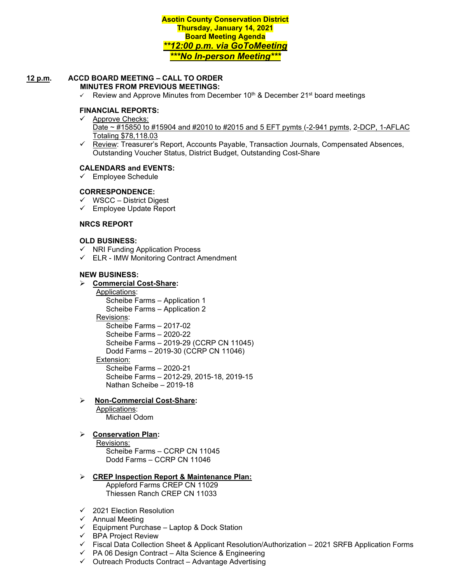**Asotin County Conservation District Thursday, January 14, 2021 Board Meeting Agenda** *\*\*12:00 p.m. via GoToMeeting \*\*\*No In-person Meeting\*\*\**

#### **12 p.m. ACCD BOARD MEETING – CALL TO ORDER MINUTES FROM PREVIOUS MEETINGS:**

 $\checkmark$  Review and Approve Minutes from December 10<sup>th</sup> & December 21<sup>st</sup> board meetings

### **FINANCIAL REPORTS:**

- $\checkmark$  Approve Checks: Date ~ #15850 to #15904 and #2010 to #2015 and 5 EFT pymts (-2-941 pymts, 2-DCP, 1-AFLAC Totaling \$78,118.03
- $\checkmark$  Review: Treasurer's Report, Accounts Payable, Transaction Journals, Compensated Absences, Outstanding Voucher Status, District Budget, Outstanding Cost-Share

#### **CALENDARS and EVENTS:**

 $\checkmark$  Employee Schedule

#### **CORRESPONDENCE:**

- $\checkmark$  WSCC District Digest
- Employee Update Report

#### **NRCS REPORT**

### **OLD BUSINESS:**

- $\checkmark$  NRI Funding Application Process
- $\checkmark$  ELR IMW Monitoring Contract Amendment

#### **NEW BUSINESS:**

#### **Commercial Cost-Share:**

Applications: Scheibe Farms – Application 1 Scheibe Farms – Application 2 Revisions: Scheibe Farms – 2017-02 Scheibe Farms – 2020-22 Scheibe Farms – 2019-29 (CCRP CN 11045) Dodd Farms – 2019-30 (CCRP CN 11046) Extension: Scheibe Farms – 2020-21 Scheibe Farms – 2012-29, 2015-18, 2019-15 Nathan Scheibe – 2019-18

#### **Non-Commercial Cost-Share:**  Applications:

Michael Odom

## **Conservation Plan:**

Revisions: Scheibe Farms – CCRP CN 11045 Dodd Farms – CCRP CN 11046

# **CREP Inspection Report & Maintenance Plan:**

Appleford Farms CREP CN 11029 Thiessen Ranch CREP CN 11033

- $\times$  2021 Election Resolution
- $\checkmark$  Annual Meeting
- $\checkmark$  Equipment Purchase Laptop & Dock Station
- $\checkmark$  BPA Project Review
- $\checkmark$  Fiscal Data Collection Sheet & Applicant Resolution/Authorization 2021 SRFB Application Forms
- $\checkmark$  PA 06 Design Contract Alta Science & Engineering
- $\checkmark$  Outreach Products Contract Advantage Advertising